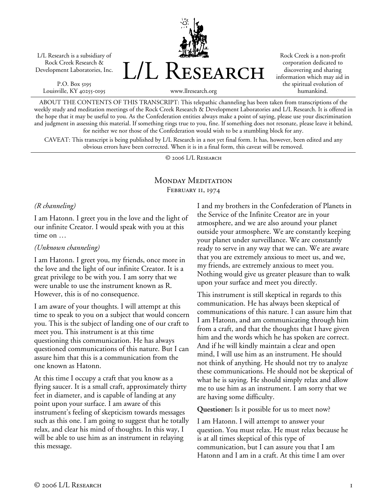L/L Research is a subsidiary of Rock Creek Research & Development Laboratories, Inc.

P.O. Box 5195 Louisville, KY 40255-0195 L/L Research

Rock Creek is a non-profit corporation dedicated to discovering and sharing information which may aid in the spiritual evolution of humankind.

ABOUT THE CONTENTS OF THIS TRANSCRIPT: This telepathic channeling has been taken from transcriptions of the weekly study and meditation meetings of the Rock Creek Research & Development Laboratories and L/L Research. It is offered in the hope that it may be useful to you. As the Confederation entities always make a point of saying, please use your discrimination and judgment in assessing this material. If something rings true to you, fine. If something does not resonate, please leave it behind, for neither we nor those of the Confederation would wish to be a stumbling block for any.

www.llresearch.org

CAVEAT: This transcript is being published by L/L Research in a not yet final form. It has, however, been edited and any obvious errors have been corrected. When it is in a final form, this caveat will be removed.

© 2006 L/L Research

### MONDAY MEDITATION FEBRUARY II, 1974

#### *(R channeling)*

I am Hatonn. I greet you in the love and the light of our infinite Creator. I would speak with you at this time on …

#### *(Unknown channeling)*

I am Hatonn. I greet you, my friends, once more in the love and the light of our infinite Creator. It is a great privilege to be with you. I am sorry that we were unable to use the instrument known as R. However, this is of no consequence.

I am aware of your thoughts. I will attempt at this time to speak to you on a subject that would concern you. This is the subject of landing one of our craft to meet you. This instrument is at this time questioning this communication. He has always questioned communications of this nature. But I can assure him that this is a communication from the one known as Hatonn.

At this time I occupy a craft that you know as a flying saucer. It is a small craft, approximately thirty feet in diameter, and is capable of landing at any point upon your surface. I am aware of this instrument's feeling of skepticism towards messages such as this one. I am going to suggest that he totally relax, and clear his mind of thoughts. In this way, I will be able to use him as an instrument in relaying this message.

I and my brothers in the Confederation of Planets in the Service of the Infinite Creator are in your atmosphere, and we are also around your planet outside your atmosphere. We are constantly keeping your planet under surveillance. We are constantly ready to serve in any way that we can. We are aware that you are extremely anxious to meet us, and we, my friends, are extremely anxious to meet you. Nothing would give us greater pleasure than to walk upon your surface and meet you directly.

This instrument is still skeptical in regards to this communication. He has always been skeptical of communications of this nature. I can assure him that I am Hatonn, and am communicating through him from a craft, and that the thoughts that I have given him and the words which he has spoken are correct. And if he will kindly maintain a clear and open mind, I will use him as an instrument. He should not think of anything. He should not try to analyze these communications. He should not be skeptical of what he is saying. He should simply relax and allow me to use him as an instrument. I am sorry that we are having some difficulty.

**Questioner:** Is it possible for us to meet now?

I am Hatonn. I will attempt to answer your question. You must relax. He must relax because he is at all times skeptical of this type of communication, but I can assure you that I am Hatonn and I am in a craft. At this time I am over